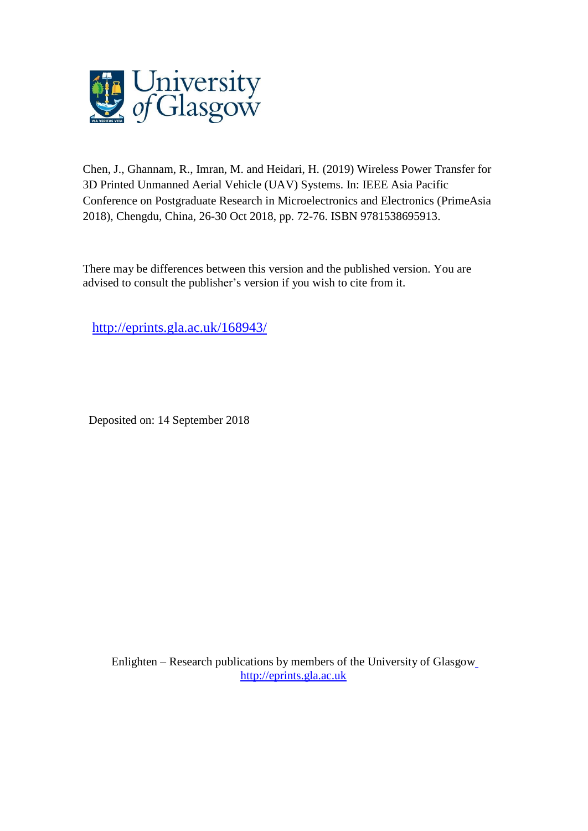

Chen, J., Ghannam, R., Imran, M. and Heidari, H. (2019) Wireless Power Transfer for 3D Printed Unmanned Aerial Vehicle (UAV) Systems. In: IEEE Asia Pacific Conference on Postgraduate Research in Microelectronics and Electronics (PrimeAsia 2018), Chengdu, China, 26-30 Oct 2018, pp. 72-76. ISBN 9781538695913.

There may be differences between this version and the published version. You are advised to consult the publisher's version if you wish to cite from it.

<http://eprints.gla.ac.uk/168943/>

Deposited on: 14 September 2018

Enlighten – Research publications by members of the University of Glasgo[w](http://eprints.gla.ac.uk/) [http://eprints.gla.ac.uk](http://eprints.gla.ac.uk/)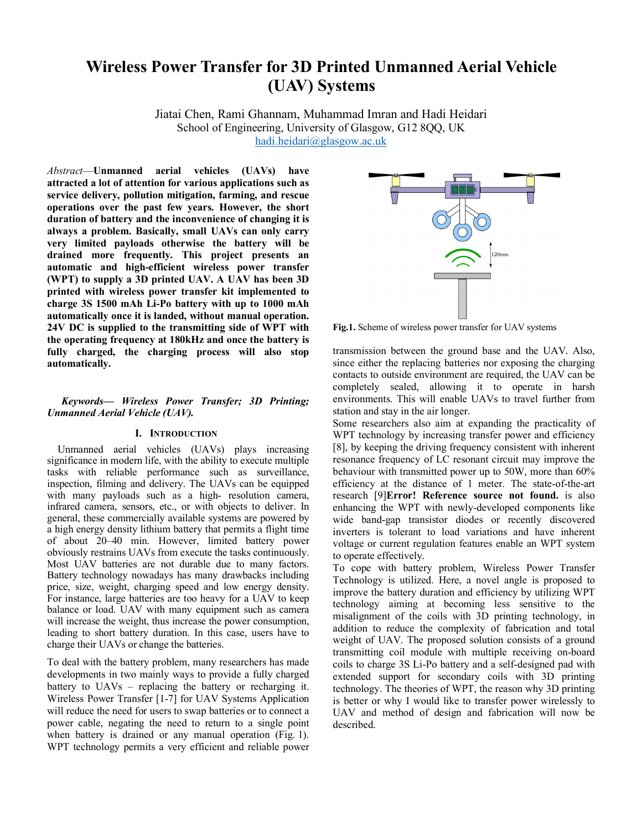# **Wireless Power Transfer for 3D Printed Unmanned Aerial Vehicle (UAV) Systems**

Jiatai Chen, Rami Ghannam, Muhammad Imran and Hadi Heidari School of Engineering, University of Glasgow, G12 8OO, UK hadi.heidari@glasgow.ac.uk

*Abstract*—**Unmanned aerial vehicles (UAVs) have attracted a lot of attention for various applications such as service delivery, pollution mitigation, farming, and rescue operations over the past few years. However, the short duration of battery and the inconvenience of changing it is always a problem. Basically, small UAVs can only carry very limited payloads otherwise the battery will be drained more frequently. This project presents an automatic and high-efficient wireless power transfer (WPT) to supply a 3D printed UAV. A UAV has been 3D printed with wireless power transfer kit implemented to charge 3S 1500 mAh Li-Po battery with up to 1000 mAh automatically once it is landed, without manual operation. 24V DC is supplied to the transmitting side of WPT with the operating frequency at 180kHz and once the battery is fully charged, the charging process will also stop automatically.**

# *Keywords— Wireless Power Transfer; 3D Printing; Unmanned Aerial Vehicle (UAV).*

# **I. INTRODUCTION**

Unmanned aerial vehicles (UAVs) plays increasing significance in modern life, with the ability to execute multiple tasks with reliable performance such as surveillance, inspection, filming and delivery. The UAVs can be equipped with many payloads such as a high- resolution camera, infrared camera, sensors, etc., or with objects to deliver. In general, these commercially available systems are powered by a high energy density lithium battery that permits a flight time of about 20–40 min. However, limited battery power obviously restrains UAVs from execute the tasks continuously. Most UAV batteries are not durable due to many factors. Battery technology nowadays has many drawbacks including price, size, weight, charging speed and low energy density. For instance, large batteries are too heavy for a UAV to keep balance or load. UAV with many equipment such as camera will increase the weight, thus increase the power consumption, leading to short battery duration. In this case, users have to charge their UAVs or change the batteries.

To deal with the battery problem, many researchers has made developments in two mainly ways to provide a fully charged battery to UAVs – replacing the battery or recharging it. Wireless Power Transfer [1-7] for UAV Systems Application will reduce the need for users to swap batteries or to connect a power cable, negating the need to return to a single point when battery is drained or any manual operation (Fig. 1). WPT technology permits a very efficient and reliable power



**Fig.1.** Scheme of wireless power transfer for UAV systems

transmission between the ground base and the UAV. Also, since either the replacing batteries nor exposing the charging contacts to outside environment are required, the UAV can be completely sealed, allowing it to operate in harsh environments. This will enable UAVs to travel further from station and stay in the air longer.

Some researchers also aim at expanding the practicality of WPT technology by increasing transfer power and efficiency [8], by keeping the driving frequency consistent with inherent resonance frequency of LC resonant circuit may improve the behaviour with transmitted power up to 50W, more than 60% efficiency at the distance of 1 meter. The state-of-the-art research [9]**Error! Reference source not found.** is also enhancing the WPT with newly-developed components like wide band-gap transistor diodes or recently discovered inverters is tolerant to load variations and have inherent voltage or current regulation features enable an WPT system to operate effectively.

To cope with battery problem, Wireless Power Transfer Technology is utilized. Here, a novel angle is proposed to improve the battery duration and efficiency by utilizing WPT technology aiming at becoming less sensitive to the misalignment of the coils with 3D printing technology, in addition to reduce the complexity of fabrication and total weight of UAV. The proposed solution consists of a ground transmitting coil module with multiple receiving on-board coils to charge 3S Li-Po battery and a self-designed pad with extended support for secondary coils with 3D printing technology. The theories of WPT, the reason why 3D printing is better or why I would like to transfer power wirelessly to UAV and method of design and fabrication will now be described.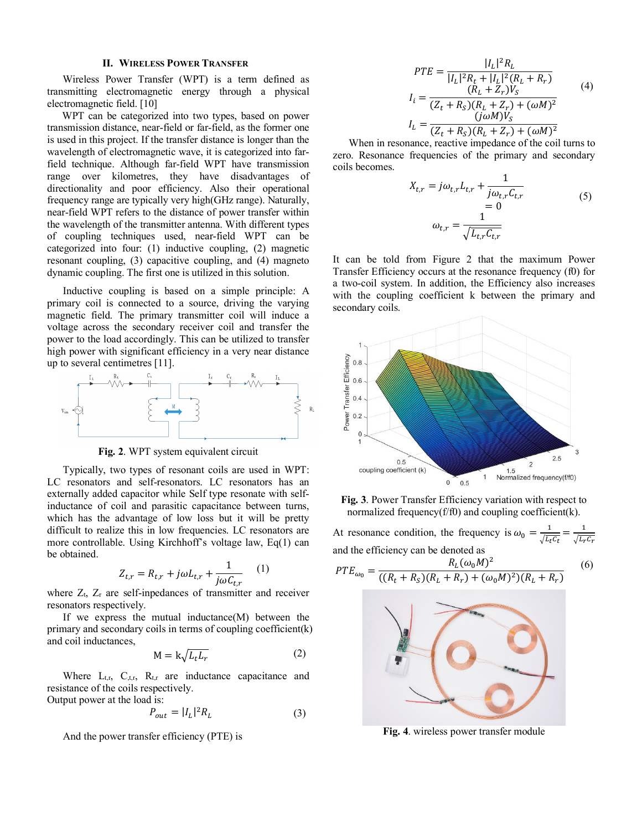### **II. WIRELESS POWER TRANSFER**

Wireless Power Transfer (WPT) is a term defined as transmitting electromagnetic energy through a physical electromagnetic field. [10]

WPT can be categorized into two types, based on power transmission distance, near-field or far-field, as the former one is used in this project. If the transfer distance is longer than the wavelength of electromagnetic wave, it is categorized into farfield technique. Although far-field WPT have transmission range over kilometres, they have disadvantages of directionality and poor efficiency. Also their operational frequency range are typically very high(GHz range). Naturally, near-field WPT refers to the distance of power transfer within the wavelength of the transmitter antenna. With different types of coupling techniques used, near-field WPT can be categorized into four: (1) inductive coupling, (2) magnetic resonant coupling, (3) capacitive coupling, and (4) magneto dynamic coupling. The first one is utilized in this solution.

Inductive coupling is based on a simple principle: A primary coil is connected to a source, driving the varying magnetic field. The primary transmitter coil will induce a voltage across the secondary receiver coil and transfer the power to the load accordingly. This can be utilized to transfer high power with significant efficiency in a very near distance up to several centimetres [11].



**Fig. 2**. WPT system equivalent circuit

Typically, two types of resonant coils are used in WPT: LC resonators and self-resonators. LC resonators has an externally added capacitor while Self type resonate with selfinductance of coil and parasitic capacitance between turns, which has the advantage of low loss but it will be pretty difficult to realize this in low frequencies. LC resonators are more controllable. Using Kirchhoff's voltage law, Eq(1) can be obtained.

$$
Z_{t,r} = R_{t,r} + j\omega L_{t,r} + \frac{1}{j\omega C_{t,r}} \qquad (1)
$$

where  $Z_t$ ,  $Z_r$  are self-inpedances of transmitter and receiver resonators respectively.

If we express the mutual inductance(M) between the primary and secondary coils in terms of coupling coefficient(k) and coil inductances,

$$
M = k \sqrt{L_t L_r} \tag{2}
$$

Where  $L_{t,r}$ ,  $C_{t,r}$ ,  $R_{t,r}$  are inductance capacitance and resistance of the coils respectively. Output power at the load is:

$$
P_{out} = |I_L|^2 R_L \tag{3}
$$

And the power transfer efficiency (PTE) is

$$
PTE = \frac{|I_L|^2 R_L}{|I_L|^2 R_t + |I_L|^2 (R_L + R_r)}
$$
  
\n
$$
I_i = \frac{(R_L + Z_r) V_S}{(Z_t + R_S)(R_L + Z_r) + (\omega M)^2}
$$
  
\n
$$
I_L = \frac{(j\omega M) V_S}{(Z_t + R_S)(R_L + Z_r) + (\omega M)^2}
$$
\n(4)

When in resonance, reactive impedance of the coil turns to zero. Resonance frequencies of the primary and secondary coils becomes.

$$
X_{t,r} = j\omega_{t,r}L_{t,r} + \frac{1}{j\omega_{t,r}C_{t,r}}= 0
$$
\n
$$
\omega_{t,r} = \frac{1}{\sqrt{L_{t,r}C_{t,r}}}
$$
\n(5)

It can be told from Figure 2 that the maximum Power Transfer Efficiency occurs at the resonance frequency (f0) for a two-coil system. In addition, the Efficiency also increases with the coupling coefficient k between the primary and secondary coils.



**Fig. 3**. Power Transfer Efficiency variation with respect to normalized frequency( $f/f0$ ) and coupling coefficient(k).

At resonance condition, the frequency is  $\omega_0 = \frac{1}{\sqrt{L_t C_t}} = \frac{1}{\sqrt{L_t C_t}}$ and the efficiency can be denoted as  $PTE_{\omega_0} = \frac{R_L(\omega_0 M)^2}{((R_t + R_s)(R_L + R_r) + (\omega_0 M)^2)(R_L + R_r)}$ (6)



**Fig. 4**. wireless power transfer module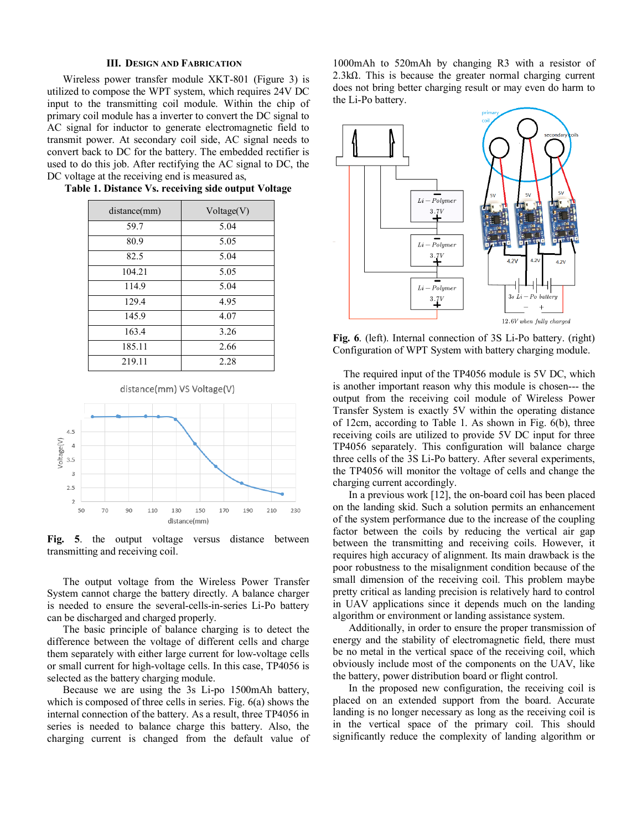#### **III. DESIGN AND FABRICATION**

Wireless power transfer module XKT-801 (Figure 3) is utilized to compose the WPT system, which requires 24V DC input to the transmitting coil module. Within the chip of primary coil module has a inverter to convert the DC signal to AC signal for inductor to generate electromagnetic field to transmit power. At secondary coil side, AC signal needs to convert back to DC for the battery. The embedded rectifier is used to do this job. After rectifying the AC signal to DC, the DC voltage at the receiving end is measured as,

| distance(mm) | Voltage(V) |
|--------------|------------|
| 59.7         | 5.04       |
| 80.9         | 5.05       |
| 82.5         | 5.04       |
| 104.21       | 5.05       |
| 114.9        | 5.04       |
| 129.4        | 4.95       |
| 145.9        | 4.07       |
| 163.4        | 3.26       |
| 185.11       | 2.66       |
| 219.11       | 2.28       |

#### **Table 1. Distance Vs. receiving side output Voltage**





**Fig. 5**. the output voltage versus distance between transmitting and receiving coil.

The output voltage from the Wireless Power Transfer System cannot charge the battery directly. A balance charger is needed to ensure the several-cells-in-series Li-Po battery can be discharged and charged properly.

The basic principle of balance charging is to detect the difference between the voltage of different cells and charge them separately with either large current for low-voltage cells or small current for high-voltage cells. In this case, TP4056 is selected as the battery charging module.

Because we are using the 3s Li-po 1500mAh battery, which is composed of three cells in series. Fig. 6(a) shows the internal connection of the battery. As a result, three TP4056 in series is needed to balance charge this battery. Also, the charging current is changed from the default value of

1000mAh to 520mAh by changing R3 with a resistor of 2.3kΩ. This is because the greater normal charging current does not bring better charging result or may even do harm to the Li-Po battery.



**Fig. 6**. (left). Internal connection of 3S Li-Po battery. (right) Configuration of WPT System with battery charging module.

The required input of the TP4056 module is 5V DC, which is another important reason why this module is chosen--- the output from the receiving coil module of Wireless Power Transfer System is exactly 5V within the operating distance of 12cm, according to Table 1. As shown in Fig. 6(b), three receiving coils are utilized to provide 5V DC input for three TP4056 separately. This configuration will balance charge three cells of the 3S Li-Po battery. After several experiments, the TP4056 will monitor the voltage of cells and change the charging current accordingly.

In a previous work [12], the on-board coil has been placed on the landing skid. Such a solution permits an enhancement of the system performance due to the increase of the coupling factor between the coils by reducing the vertical air gap between the transmitting and receiving coils. However, it requires high accuracy of alignment. Its main drawback is the poor robustness to the misalignment condition because of the small dimension of the receiving coil. This problem maybe pretty critical as landing precision is relatively hard to control in UAV applications since it depends much on the landing algorithm or environment or landing assistance system.

Additionally, in order to ensure the proper transmission of energy and the stability of electromagnetic field, there must be no metal in the vertical space of the receiving coil, which obviously include most of the components on the UAV, like the battery, power distribution board or flight control.

In the proposed new configuration, the receiving coil is placed on an extended support from the board. Accurate landing is no longer necessary as long as the receiving coil is in the vertical space of the primary coil. This should significantly reduce the complexity of landing algorithm or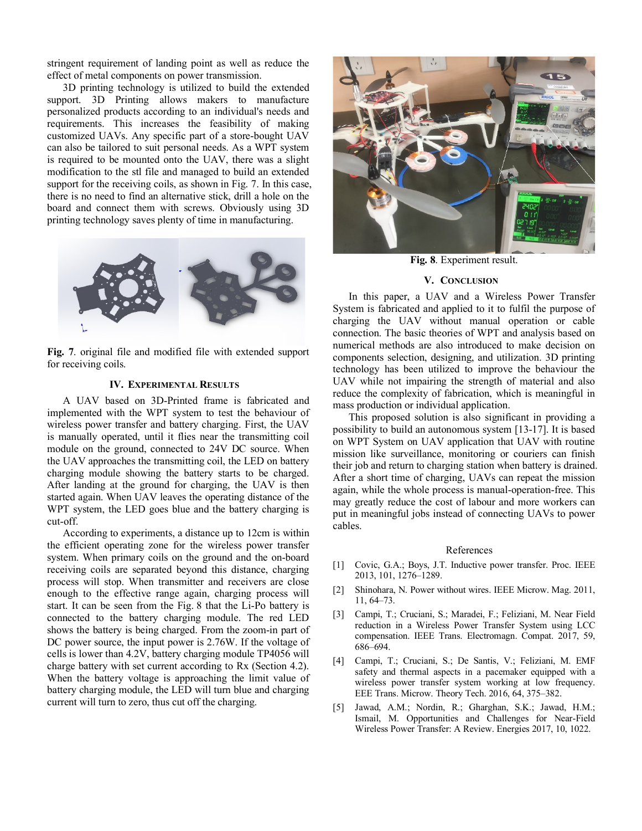stringent requirement of landing point as well as reduce the effect of metal components on power transmission.

3D printing technology is utilized to build the extended support. 3D Printing allows makers to manufacture personalized products according to an individual's needs and requirements. This increases the feasibility of making customized UAVs. Any specific part of a store-bought UAV can also be tailored to suit personal needs. As a WPT system is required to be mounted onto the UAV, there was a slight modification to the stl file and managed to build an extended support for the receiving coils, as shown in Fig. 7. In this case, there is no need to find an alternative stick, drill a hole on the board and connect them with screws. Obviously using 3D printing technology saves plenty of time in manufacturing.



**Fig. 7**. original file and modified file with extended support for receiving coils.

# **IV. EXPERIMENTAL RESULTS**

A UAV based on 3D-Printed frame is fabricated and implemented with the WPT system to test the behaviour of wireless power transfer and battery charging. First, the UAV is manually operated, until it flies near the transmitting coil module on the ground, connected to 24V DC source. When the UAV approaches the transmitting coil, the LED on battery charging module showing the battery starts to be charged. After landing at the ground for charging, the UAV is then started again. When UAV leaves the operating distance of the WPT system, the LED goes blue and the battery charging is cut-off.

According to experiments, a distance up to 12cm is within the efficient operating zone for the wireless power transfer system. When primary coils on the ground and the on-board receiving coils are separated beyond this distance, charging process will stop. When transmitter and receivers are close enough to the effective range again, charging process will start. It can be seen from the Fig. 8 that the Li-Po battery is connected to the battery charging module. The red LED shows the battery is being charged. From the zoom-in part of DC power source, the input power is 2.76W. If the voltage of cells is lower than 4.2V, battery charging module TP4056 will charge battery with set current according to Rx (Section 4.2). When the battery voltage is approaching the limit value of battery charging module, the LED will turn blue and charging current will turn to zero, thus cut off the charging.



**Fig. 8**. Experiment result.

## **V. CONCLUSION**

In this paper, a UAV and a Wireless Power Transfer System is fabricated and applied to it to fulfil the purpose of charging the UAV without manual operation or cable connection. The basic theories of WPT and analysis based on numerical methods are also introduced to make decision on components selection, designing, and utilization. 3D printing technology has been utilized to improve the behaviour the UAV while not impairing the strength of material and also reduce the complexity of fabrication, which is meaningful in mass production or individual application.

This proposed solution is also significant in providing a possibility to build an autonomous system [13-17]. It is based on WPT System on UAV application that UAV with routine mission like surveillance, monitoring or couriers can finish their job and return to charging station when battery is drained. After a short time of charging, UAVs can repeat the mission again, while the whole process is manual-operation-free. This may greatly reduce the cost of labour and more workers can put in meaningful jobs instead of connecting UAVs to power cables.

#### References

- [1] Covic, G.A.; Boys, J.T. Inductive power transfer. Proc. IEEE 2013, 101, 1276–1289.
- [2] Shinohara, N. Power without wires. IEEE Microw. Mag. 2011, 11, 64–73.
- [3] Campi, T.; Cruciani, S.; Maradei, F.; Feliziani, M. Near Field reduction in a Wireless Power Transfer System using LCC compensation. IEEE Trans. Electromagn. Compat. 2017, 59, 686–694.
- [4] Campi, T.; Cruciani, S.; De Santis, V.; Feliziani, M. EMF safety and thermal aspects in a pacemaker equipped with a wireless power transfer system working at low frequency. EEE Trans. Microw. Theory Tech. 2016, 64, 375–382.
- [5] Jawad, A.M.; Nordin, R.; Gharghan, S.K.; Jawad, H.M.; Ismail, M. Opportunities and Challenges for Near-Field Wireless Power Transfer: A Review. Energies 2017, 10, 1022.